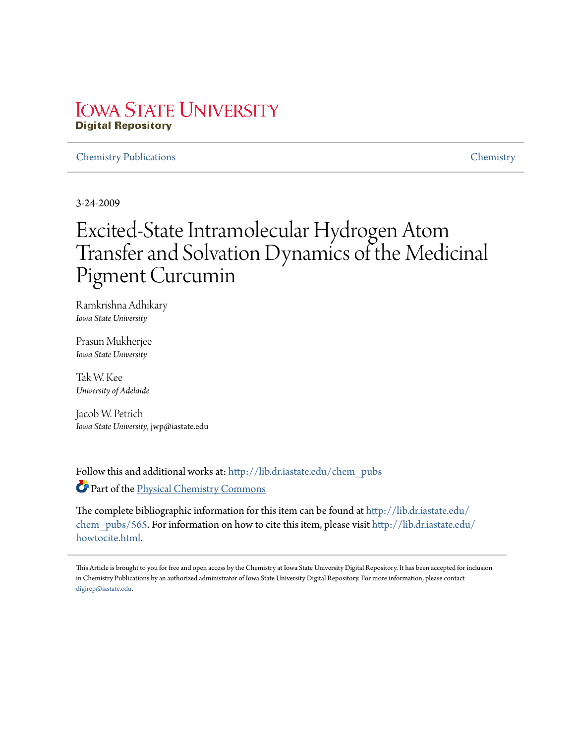## **IOWA STATE UNIVERSITY Digital Repository**

## Chemistry Publications Chemistry

3-24-2009

# Excited-State Intramolecular Hydrogen Atom Transfer and Solvation Dynamics of the Medicinal Pigment Curcumin

Ramkrishna Adhikary *Iowa State University*

Prasun Mukherjee *Iowa State University*

Tak W. Kee *University of Adelaide*

Jacob W. Petrich *Iowa State University*, jwp@iastate.edu

Follow this and additional works at: http://lib.dr.iastate.edu/chem\_pubs Part of the Physical Chemistry Commons

The complete bibliographic information for this item can be found at http://lib.dr.iastate.edu/ chem\_pubs/565. For information on how to cite this item, please visit http://lib.dr.iastate.edu/ howtocite.html.

This Article is brought to you for free and open access by the Chemistry at Iowa State University Digital Repository. It has been accepted for inclusion in Chemistry Publications by an authorized administrator of Iowa State University Digital Repository. For more information, please contact digirep@iastate.edu.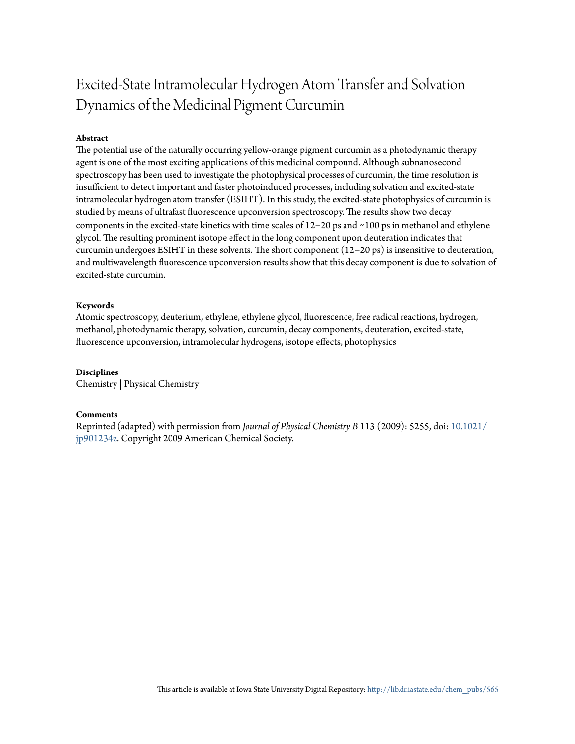## Excited-State Intramolecular Hydrogen Atom Transfer and Solvation Dynamics of the Medicinal Pigment Curcumin

## **Abstract**

The potential use of the naturally occurring yellow-orange pigment curcumin as a photodynamic therapy agent is one of the most exciting applications of this medicinal compound. Although subnanosecond spectroscopy has been used to investigate the photophysical processes of curcumin, the time resolution is insufficient to detect important and faster photoinduced processes, including solvation and excited-state intramolecular hydrogen atom transfer (ESIHT). In this study, the excited-state photophysics of curcumin is studied by means of ultrafast fluorescence upconversion spectroscopy. The results show two decay components in the excited-state kinetics with time scales of 12−20 ps and ∼100 ps in methanol and ethylene glycol. The resulting prominent isotope effect in the long component upon deuteration indicates that curcumin undergoes ESIHT in these solvents. The short component (12−20 ps) is insensitive to deuteration, and multiwavelength fluorescence upconversion results show that this decay component is due to solvation of excited-state curcumin.

## **Keywords**

Atomic spectroscopy, deuterium, ethylene, ethylene glycol, fluorescence, free radical reactions, hydrogen, methanol, photodynamic therapy, solvation, curcumin, decay components, deuteration, excited-state, fluorescence upconversion, intramolecular hydrogens, isotope effects, photophysics

## **Disciplines**

Chemistry | Physical Chemistry

### **Comments**

Reprinted (adapted) with permission from *Journal of Physical Chemistry B* 113 (2009): 5255, doi: 10.1021/ jp901234z. Copyright 2009 American Chemical Society.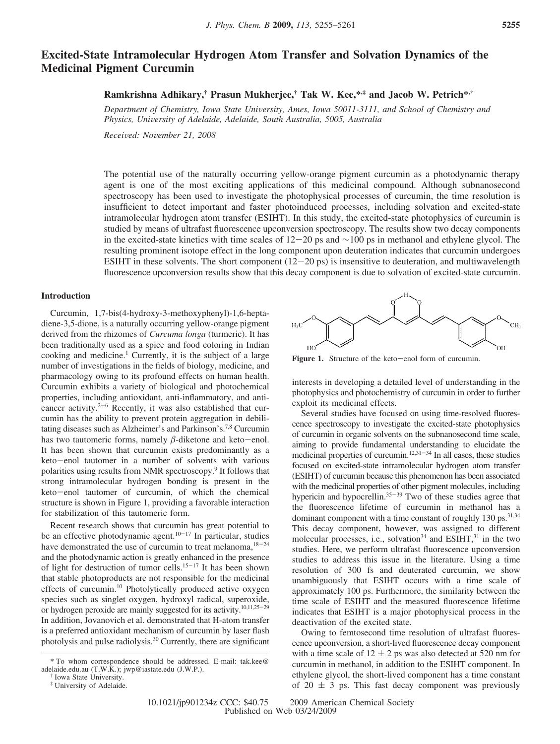## **Excited-State Intramolecular Hydrogen Atom Transfer and Solvation Dynamics of the Medicinal Pigment Curcumin**

## **Ramkrishna Adhikary,† Prasun Mukherjee,† Tak W. Kee,\*,‡ and Jacob W. Petrich\*,†**

*Department of Chemistry, Iowa State Uni*V*ersity, Ames, Iowa 50011-3111, and School of Chemistry and Physics, Uni*V*ersity of Adelaide, Adelaide, South Australia, 5005, Australia*

*Recei*V*ed: No*V*ember 21, 2008*

The potential use of the naturally occurring yellow-orange pigment curcumin as a photodynamic therapy agent is one of the most exciting applications of this medicinal compound. Although subnanosecond spectroscopy has been used to investigate the photophysical processes of curcumin, the time resolution is insufficient to detect important and faster photoinduced processes, including solvation and excited-state intramolecular hydrogen atom transfer (ESIHT). In this study, the excited-state photophysics of curcumin is studied by means of ultrafast fluorescence upconversion spectroscopy. The results show two decay components in the excited-state kinetics with time scales of 12-20 ps and ∼100 ps in methanol and ethylene glycol. The resulting prominent isotope effect in the long component upon deuteration indicates that curcumin undergoes ESIHT in these solvents. The short component  $(12-20 \text{ ps})$  is insensitive to deuteration, and multiwavelength fluorescence upconversion results show that this decay component is due to solvation of excited-state curcumin.

#### **Introduction**

Curcumin, 1,7-bis(4-hydroxy-3-methoxyphenyl)-1,6-heptadiene-3,5-dione, is a naturally occurring yellow-orange pigment derived from the rhizomes of *Curcuma longa* (turmeric). It has been traditionally used as a spice and food coloring in Indian cooking and medicine.<sup>1</sup> Currently, it is the subject of a large number of investigations in the fields of biology, medicine, and pharmacology owing to its profound effects on human health. Curcumin exhibits a variety of biological and photochemical properties, including antioxidant, anti-inflammatory, and anticancer activity. $2^{-6}$  Recently, it was also established that curcumin has the ability to prevent protein aggregation in debilitating diseases such as Alzheimer's and Parkinson's.7,8 Curcumin has two tautomeric forms, namely  $\beta$ -diketone and keto-enol. It has been shown that curcumin exists predominantly as a keto-enol tautomer in a number of solvents with various polarities using results from NMR spectroscopy.<sup>9</sup> It follows that strong intramolecular hydrogen bonding is present in the keto-enol tautomer of curcumin, of which the chemical structure is shown in Figure 1, providing a favorable interaction for stabilization of this tautomeric form.

Recent research shows that curcumin has great potential to be an effective photodynamic agent. $10-17$  In particular, studies have demonstrated the use of curcumin to treat melanoma,  $18-24$ and the photodynamic action is greatly enhanced in the presence of light for destruction of tumor cells.<sup>15-17</sup> It has been shown that stable photoproducts are not responsible for the medicinal effects of curcumin.<sup>10</sup> Photolytically produced active oxygen species such as singlet oxygen, hydroxyl radical, superoxide, or hydrogen peroxide are mainly suggested for its activity.10,11,25-<sup>29</sup> In addition, Jovanovich et al. demonstrated that H-atom transfer is a preferred antioxidant mechanism of curcumin by laser flash photolysis and pulse radiolysis.<sup>30</sup> Currently, there are significant



Figure 1. Structure of the keto-enol form of curcumin.

interests in developing a detailed level of understanding in the photophysics and photochemistry of curcumin in order to further exploit its medicinal effects.

Several studies have focused on using time-resolved fluorescence spectroscopy to investigate the excited-state photophysics of curcumin in organic solvents on the subnanosecond time scale, aiming to provide fundamental understanding to elucidate the medicinal properties of curcumin.<sup>12,31-34</sup> In all cases, these studies focused on excited-state intramolecular hydrogen atom transfer (ESIHT) of curcumin because this phenomenon has been associated with the medicinal properties of other pigment molecules, including hypericin and hypocrellin. $35-39$  Two of these studies agree that the fluorescence lifetime of curcumin in methanol has a dominant component with a time constant of roughly 130 ps.<sup>31,34</sup> This decay component, however, was assigned to different molecular processes, i.e., solvation<sup>34</sup> and  $ESIHT$ , <sup>31</sup> in the two studies. Here, we perform ultrafast fluorescence upconversion studies to address this issue in the literature. Using a time resolution of 300 fs and deuterated curcumin, we show unambiguously that ESIHT occurs with a time scale of approximately 100 ps. Furthermore, the similarity between the time scale of ESIHT and the measured fluorescence lifetime indicates that ESIHT is a major photophysical process in the deactivation of the excited state.

Owing to femtosecond time resolution of ultrafast fluorescence upconversion, a short-lived fluorescence decay component with a time scale of  $12 \pm 2$  ps was also detected at 520 nm for curcumin in methanol, in addition to the ESIHT component. In ethylene glycol, the short-lived component has a time constant of  $20 \pm 3$  ps. This fast decay component was previously

<sup>\*</sup> To whom correspondence should be addressed. E-mail: tak.kee@ adelaide.edu.au (T.W.K.); jwp@iastate.edu (J.W.P.).

<sup>†</sup> Iowa State University.

<sup>‡</sup> University of Adelaide.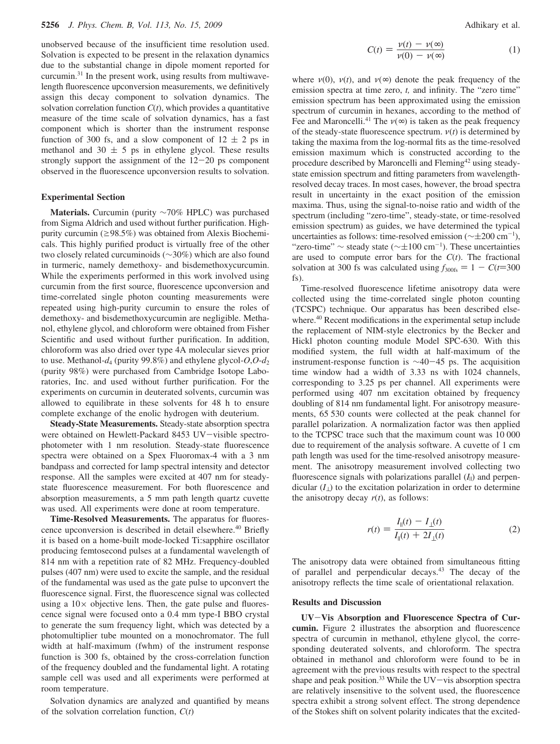unobserved because of the insufficient time resolution used. Solvation is expected to be present in the relaxation dynamics due to the substantial change in dipole moment reported for curcumin.<sup>31</sup> In the present work, using results from multiwavelength fluorescence upconversion measurements, we definitively assign this decay component to solvation dynamics. The solvation correlation function  $C(t)$ , which provides a quantitative measure of the time scale of solvation dynamics, has a fast component which is shorter than the instrument response function of 300 fs, and a slow component of  $12 \pm 2$  ps in methanol and 30  $\pm$  5 ps in ethylene glycol. These results strongly support the assignment of the  $12-20$  ps component observed in the fluorescence upconversion results to solvation.

#### **Experimental Section**

**Materials.** Curcumin (purity ∼70% HPLC) was purchased from Sigma Aldrich and used without further purification. Highpurity curcumin ( $\geq$ 98.5%) was obtained from Alexis Biochemicals. This highly purified product is virtually free of the other two closely related curcuminoids (∼30%) which are also found in turmeric, namely demethoxy- and bisdemethoxycurcumin. While the experiments performed in this work involved using curcumin from the first source, fluorescence upconversion and time-correlated single photon counting measurements were repeated using high-purity curcumin to ensure the roles of demethoxy- and bisdemethoxycurcumin are negligible. Methanol, ethylene glycol, and chloroform were obtained from Fisher Scientific and used without further purification. In addition, chloroform was also dried over type 4A molecular sieves prior to use. Methanol-*d*<sup>4</sup> (purity 99.8%) and ethylene glycol-*O*,*O*-*d*<sup>2</sup> (purity 98%) were purchased from Cambridge Isotope Laboratories, Inc. and used without further purification. For the experiments on curcumin in deuterated solvents, curcumin was allowed to equilibrate in these solvents for 48 h to ensure complete exchange of the enolic hydrogen with deuterium.

**Steady-State Measurements.** Steady-state absorption spectra were obtained on Hewlett-Packard 8453 UV-visible spectrophotometer with 1 nm resolution. Steady-state fluorescence spectra were obtained on a Spex Fluoromax-4 with a 3 nm bandpass and corrected for lamp spectral intensity and detector response. All the samples were excited at 407 nm for steadystate fluorescence measurement. For both fluorescence and absorption measurements, a 5 mm path length quartz cuvette was used. All experiments were done at room temperature.

**Time-Resolved Measurements.** The apparatus for fluorescence upconversion is described in detail elsewhere.<sup>40</sup> Briefly it is based on a home-built mode-locked Ti:sapphire oscillator producing femtosecond pulses at a fundamental wavelength of 814 nm with a repetition rate of 82 MHz. Frequency-doubled pulses (407 nm) were used to excite the sample, and the residual of the fundamental was used as the gate pulse to upconvert the fluorescence signal. First, the fluorescence signal was collected using a  $10\times$  objective lens. Then, the gate pulse and fluorescence signal were focused onto a 0.4 mm type-I BBO crystal to generate the sum frequency light, which was detected by a photomultiplier tube mounted on a monochromator. The full width at half-maximum (fwhm) of the instrument response function is 300 fs, obtained by the cross-correlation function of the frequency doubled and the fundamental light. A rotating sample cell was used and all experiments were performed at room temperature.

Solvation dynamics are analyzed and quantified by means of the solvation correlation function, *C*(*t*)

$$
C(t) = \frac{\nu(t) - \nu(\infty)}{\nu(0) - \nu(\infty)}
$$
 (1)

where  $\nu(0)$ ,  $\nu(t)$ , and  $\nu(\infty)$  denote the peak frequency of the emission spectra at time zero, *t*, and infinity. The "zero time" emission spectrum has been approximated using the emission spectrum of curcumin in hexanes, according to the method of Fee and Maroncelli.<sup>41</sup> The  $\nu(\infty)$  is taken as the peak frequency of the steady-state fluorescence spectrum.  $v(t)$  is determined by taking the maxima from the log-normal fits as the time-resolved emission maximum which is constructed according to the procedure described by Maroncelli and Fleming<sup>42</sup> using steadystate emission spectrum and fitting parameters from wavelengthresolved decay traces. In most cases, however, the broad spectra result in uncertainty in the exact position of the emission maxima. Thus, using the signal-to-noise ratio and width of the spectrum (including "zero-time", steady-state, or time-resolved emission spectrum) as guides, we have determined the typical uncertainties as follows: time-resolved emission ( $\sim \pm 200 \text{ cm}^{-1}$ ), "zero-time"  $\sim$  steady state ( $\sim \pm 100 \text{ cm}^{-1}$ ). These uncertainties are used to compute error bars for the  $C(t)$ . The fractional solvation at 300 fs was calculated using  $f_{300fs} = 1 - C(t=300)$ fs).

Time-resolved fluorescence lifetime anisotropy data were collected using the time-correlated single photon counting (TCSPC) technique. Our apparatus has been described elsewhere.<sup>40</sup> Recent modifications in the experimental setup include the replacement of NIM-style electronics by the Becker and Hickl photon counting module Model SPC-630. With this modified system, the full width at half-maximum of the instrument-response function is ∼40-45 ps. The acquisition time window had a width of 3.33 ns with 1024 channels, corresponding to 3.25 ps per channel. All experiments were performed using 407 nm excitation obtained by frequency doubling of 814 nm fundamental light. For anisotropy measurements, 65 530 counts were collected at the peak channel for parallel polarization. A normalization factor was then applied to the TCPSC trace such that the maximum count was 10 000 due to requirement of the analysis software. A cuvette of 1 cm path length was used for the time-resolved anisotropy measurement. The anisotropy measurement involved collecting two fluorescence signals with polarizations parallel  $(I_{\parallel})$  and perpendicular  $(I_1)$  to the excitation polarization in order to determine the anisotropy decay  $r(t)$ , as follows:

$$
r(t) = \frac{I_{\parallel}(t) - I_{\perp}(t)}{I_{\parallel}(t) + 2I_{\perp}(t)}
$$
(2)

The anisotropy data were obtained from simultaneous fitting of parallel and perpendicular decays.<sup>43</sup> The decay of the anisotropy reflects the time scale of orientational relaxation.

#### **Results and Discussion**

**UV**-**Vis Absorption and Fluorescence Spectra of Curcumin.** Figure 2 illustrates the absorption and fluorescence spectra of curcumin in methanol, ethylene glycol, the corresponding deuterated solvents, and chloroform. The spectra obtained in methanol and chloroform were found to be in agreement with the previous results with respect to the spectral shape and peak position.<sup>33</sup> While the UV-vis absorption spectra are relatively insensitive to the solvent used, the fluorescence spectra exhibit a strong solvent effect. The strong dependence of the Stokes shift on solvent polarity indicates that the excited-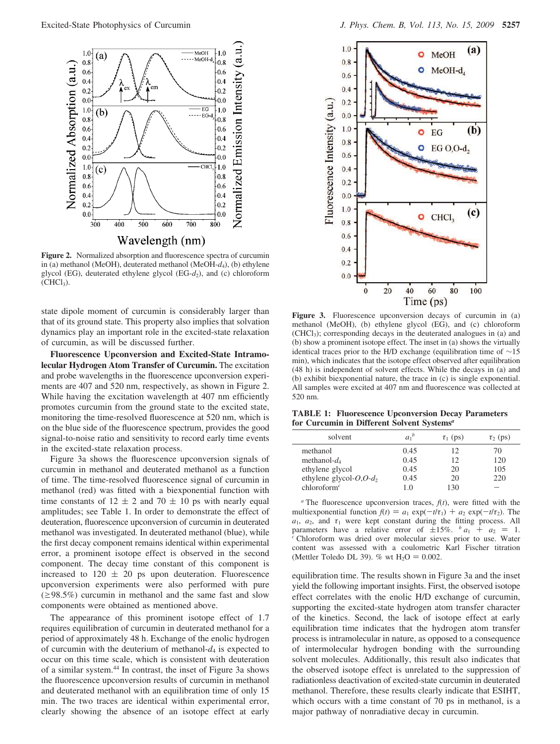

Figure 2. Normalized absorption and fluorescence spectra of curcumin in (a) methanol (MeOH), deuterated methanol (MeOH-*d*4), (b) ethylene glycol (EG), deuterated ethylene glycol (EG-*d*2), and (c) chloroform  $(CHCl<sub>3</sub>)$ .

state dipole moment of curcumin is considerably larger than that of its ground state. This property also implies that solvation dynamics play an important role in the excited-state relaxation of curcumin, as will be discussed further.

**Fluorescence Upconversion and Excited-State Intramolecular Hydrogen Atom Transfer of Curcumin.** The excitation and probe wavelengths in the fluorescence upconversion experiments are 407 and 520 nm, respectively, as shown in Figure 2. While having the excitation wavelength at 407 nm efficiently promotes curcumin from the ground state to the excited state, monitoring the time-resolved fluorescence at 520 nm, which is on the blue side of the fluorescence spectrum, provides the good signal-to-noise ratio and sensitivity to record early time events in the excited-state relaxation process.

Figure 3a shows the fluorescence upconversion signals of curcumin in methanol and deuterated methanol as a function of time. The time-resolved fluorescence signal of curcumin in methanol (red) was fitted with a biexponential function with time constants of  $12 \pm 2$  and  $70 \pm 10$  ps with nearly equal amplitudes; see Table 1. In order to demonstrate the effect of deuteration, fluorescence upconversion of curcumin in deuterated methanol was investigated. In deuterated methanol (blue), while the first decay component remains identical within experimental error, a prominent isotope effect is observed in the second component. The decay time constant of this component is increased to  $120 \pm 20$  ps upon deuteration. Fluorescence upconversion experiments were also performed with pure  $(\geq 98.5\%)$  curcumin in methanol and the same fast and slow components were obtained as mentioned above.

The appearance of this prominent isotope effect of 1.7 requires equilibration of curcumin in deuterated methanol for a period of approximately 48 h. Exchange of the enolic hydrogen of curcumin with the deuterium of methanol-*d*<sup>4</sup> is expected to occur on this time scale, which is consistent with deuteration of a similar system.<sup>44</sup> In contrast, the inset of Figure 3a shows the fluorescence upconversion results of curcumin in methanol and deuterated methanol with an equilibration time of only 15 min. The two traces are identical within experimental error, clearly showing the absence of an isotope effect at early



Figure 3. Fluorescence upconversion decays of curcumin in (a) methanol (MeOH), (b) ethylene glycol (EG), and (c) chloroform (CHCl3); corresponding decays in the deuterated analogues in (a) and (b) show a prominent isotope effect. The inset in (a) shows the virtually identical traces prior to the H/D exchange (equilibration time of ∼15 min), which indicates that the isotope effect observed after equilibration (48 h) is independent of solvent effects. While the decays in (a) and (b) exhibit biexponential nature, the trace in (c) is single exponential. All samples were excited at 407 nm and fluorescence was collected at 520 nm.

**TABLE 1: Fluorescence Upconversion Decay Parameters for Curcumin in Different Solvent Systems***<sup>a</sup>*

| solvent                            | $a_1^b$ | $\tau_1$ (ps) | $\tau_2$ (ps) |
|------------------------------------|---------|---------------|---------------|
| methanol                           | 0.45    | 12            | 70            |
| methanol- $d_4$                    | 0.45    | 12            | 120           |
| ethylene glycol                    | 0.45    | 20            | 105           |
| ethylene glycol- $O$ , $O$ - $d_2$ | 0.45    | 20            | 220           |
| chloroform <sup>c</sup>            | 1.0     | 130           |               |

 $\alpha$  The fluorescence upconversion traces,  $f(t)$ , were fitted with the multiexponential function  $f(t) = a_1 \exp(-t/\tau_1) + a_2 \exp(-t/\tau_2)$ . The  $a_1$ ,  $a_2$ , and  $\tau_1$  were kept constant during the fitting process. All parameters have a relative error of  $\pm 15\%$ . *b*  $a_1 + a_2 = 1$ . *<sup>c</sup>* Chloroform was dried over molecular sieves prior to use. Water content was assessed with a coulometric Karl Fischer titration (Mettler Toledo DL 39). % wt  $H_2O = 0.002$ .

equilibration time. The results shown in Figure 3a and the inset yield the following important insights. First, the observed isotope effect correlates with the enolic H/D exchange of curcumin, supporting the excited-state hydrogen atom transfer character of the kinetics. Second, the lack of isotope effect at early equilibration time indicates that the hydrogen atom transfer process is intramolecular in nature, as opposed to a consequence of intermolecular hydrogen bonding with the surrounding solvent molecules. Additionally, this result also indicates that the observed isotope effect is unrelated to the suppression of radiationless deactivation of excited-state curcumin in deuterated methanol. Therefore, these results clearly indicate that ESIHT, which occurs with a time constant of 70 ps in methanol, is a major pathway of nonradiative decay in curcumin.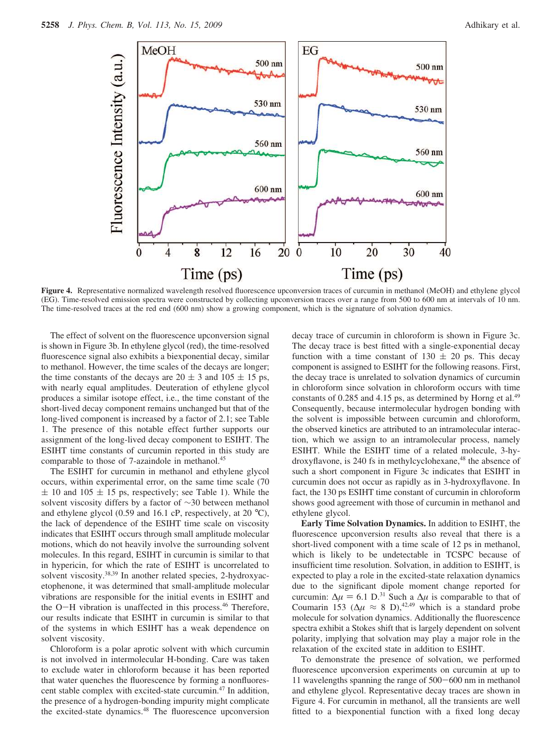

**Figure 4.** Representative normalized wavelength resolved fluorescence upconversion traces of curcumin in methanol (MeOH) and ethylene glycol (EG). Time-resolved emission spectra were constructed by collecting upconversion traces over a range from 500 to 600 nm at intervals of 10 nm. The time-resolved traces at the red end (600 nm) show a growing component, which is the signature of solvation dynamics.

The effect of solvent on the fluorescence upconversion signal is shown in Figure 3b. In ethylene glycol (red), the time-resolved fluorescence signal also exhibits a biexponential decay, similar to methanol. However, the time scales of the decays are longer; the time constants of the decays are  $20 \pm 3$  and  $105 \pm 15$  ps, with nearly equal amplitudes. Deuteration of ethylene glycol produces a similar isotope effect, i.e., the time constant of the short-lived decay component remains unchanged but that of the long-lived component is increased by a factor of 2.1; see Table 1. The presence of this notable effect further supports our assignment of the long-lived decay component to ESIHT. The ESIHT time constants of curcumin reported in this study are comparable to those of 7-azaindole in methanol.<sup>45</sup>

The ESIHT for curcumin in methanol and ethylene glycol occurs, within experimental error, on the same time scale (70  $\pm$  10 and 105  $\pm$  15 ps, respectively; see Table 1). While the solvent viscosity differs by a factor of ∼30 between methanol and ethylene glycol (0.59 and 16.1 cP, respectively, at 20 °C), the lack of dependence of the ESIHT time scale on viscosity indicates that ESIHT occurs through small amplitude molecular motions, which do not heavily involve the surrounding solvent molecules. In this regard, ESIHT in curcumin is similar to that in hypericin, for which the rate of ESIHT is uncorrelated to solvent viscosity.<sup>38,39</sup> In another related species, 2-hydroxyacetophenone, it was determined that small-amplitude molecular vibrations are responsible for the initial events in ESIHT and the O-H vibration is unaffected in this process.<sup>46</sup> Therefore, our results indicate that ESIHT in curcumin is similar to that of the systems in which ESIHT has a weak dependence on solvent viscosity.

Chloroform is a polar aprotic solvent with which curcumin is not involved in intermolecular H-bonding. Care was taken to exclude water in chloroform because it has been reported that water quenches the fluorescence by forming a nonfluorescent stable complex with excited-state curcumin.<sup>47</sup> In addition, the presence of a hydrogen-bonding impurity might complicate the excited-state dynamics.<sup>48</sup> The fluorescence upconversion decay trace of curcumin in chloroform is shown in Figure 3c. The decay trace is best fitted with a single-exponential decay function with a time constant of  $130 \pm 20$  ps. This decay component is assigned to ESIHT for the following reasons. First, the decay trace is unrelated to solvation dynamics of curcumin in chloroform since solvation in chloroform occurs with time constants of 0.285 and 4.15 ps, as determined by Horng et al.<sup>49</sup> Consequently, because intermolecular hydrogen bonding with the solvent is impossible between curcumin and chloroform, the observed kinetics are attributed to an intramolecular interaction, which we assign to an intramolecular process, namely ESIHT. While the ESIHT time of a related molecule, 3-hydroxyflavone, is 240 fs in methylcyclohexane,<sup>48</sup> the absence of such a short component in Figure 3c indicates that ESIHT in curcumin does not occur as rapidly as in 3-hydroxyflavone. In fact, the 130 ps ESIHT time constant of curcumin in chloroform shows good agreement with those of curcumin in methanol and ethylene glycol.

**Early Time Solvation Dynamics.** In addition to ESIHT, the fluorescence upconversion results also reveal that there is a short-lived component with a time scale of 12 ps in methanol, which is likely to be undetectable in TCSPC because of insufficient time resolution. Solvation, in addition to ESIHT, is expected to play a role in the excited-state relaxation dynamics due to the significant dipole moment change reported for curcumin:  $\Delta \mu = 6.1$  D.<sup>31</sup> Such a  $\Delta \mu$  is comparable to that of Coumarin 153 ( $\Delta \mu \approx 8$  D),<sup>42,49</sup> which is a standard probe molecule for solvation dynamics. Additionally the fluorescence spectra exhibit a Stokes shift that is largely dependent on solvent polarity, implying that solvation may play a major role in the relaxation of the excited state in addition to ESIHT.

To demonstrate the presence of solvation, we performed fluorescence upconversion experiments on curcumin at up to 11 wavelengths spanning the range of 500-600 nm in methanol and ethylene glycol. Representative decay traces are shown in Figure 4. For curcumin in methanol, all the transients are well fitted to a biexponential function with a fixed long decay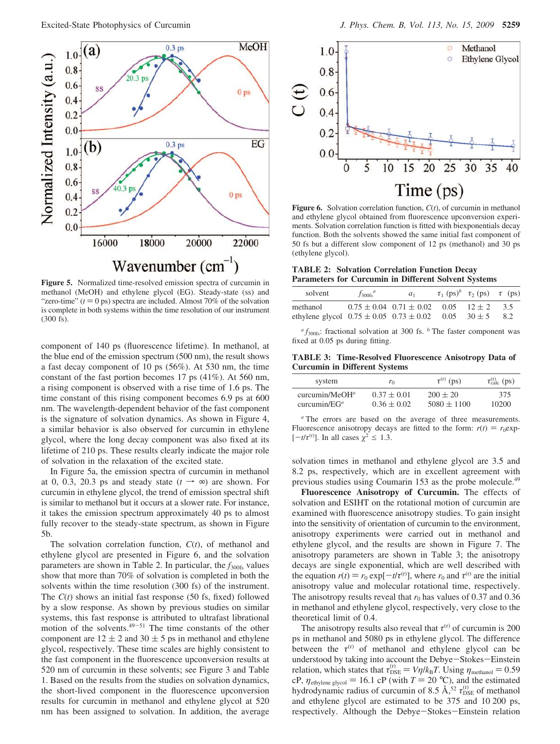

**Figure 5.** Normalized time-resolved emission spectra of curcumin in methanol (MeOH) and ethylene glycol (EG). Steady-state (ss) and "zero-time"  $(t = 0 \text{ ps})$  spectra are included. Almost 70% of the solvation is complete in both systems within the time resolution of our instrument (300 fs).

component of 140 ps (fluorescence lifetime). In methanol, at the blue end of the emission spectrum (500 nm), the result shows a fast decay component of 10 ps (56%). At 530 nm, the time constant of the fast portion becomes 17 ps (41%). At 560 nm, a rising component is observed with a rise time of 1.6 ps. The time constant of this rising component becomes 6.9 ps at 600 nm. The wavelength-dependent behavior of the fast component is the signature of solvation dynamics. As shown in Figure 4, a similar behavior is also observed for curcumin in ethylene glycol, where the long decay component was also fixed at its lifetime of 210 ps. These results clearly indicate the major role of solvation in the relaxation of the excited state.

In Figure 5a, the emission spectra of curcumin in methanol at 0, 0.3, 20.3 ps and steady state ( $t \rightarrow \infty$ ) are shown. For curcumin in ethylene glycol, the trend of emission spectral shift is similar to methanol but it occurs at a slower rate. For instance, it takes the emission spectrum approximately 40 ps to almost fully recover to the steady-state spectrum, as shown in Figure 5b.

The solvation correlation function, *C*(*t*), of methanol and ethylene glycol are presented in Figure 6, and the solvation parameters are shown in Table 2. In particular, the  $f_{300fs}$  values show that more than 70% of solvation is completed in both the solvents within the time resolution (300 fs) of the instrument. The *C*(*t*) shows an initial fast response (50 fs, fixed) followed by a slow response. As shown by previous studies on similar systems, this fast response is attributed to ultrafast librational motion of the solvents. $49-51$  The time constants of the other component are  $12 \pm 2$  and  $30 \pm 5$  ps in methanol and ethylene glycol, respectively. These time scales are highly consistent to the fast component in the fluorescence upconversion results at 520 nm of curcumin in these solvents; see Figure 3 and Table 1. Based on the results from the studies on solvation dynamics, the short-lived component in the fluorescence upconversion results for curcumin in methanol and ethylene glycol at 520 nm has been assigned to solvation. In addition, the average



**Figure 6.** Solvation correlation function, *C*(*t*), of curcumin in methanol and ethylene glycol obtained from fluorescence upconversion experiments. Solvation correlation function is fitted with biexponentials decay function. Both the solvents showed the same initial fast component of 50 fs but a different slow component of 12 ps (methanol) and 30 ps (ethylene glycol).

**TABLE 2: Solvation Correlation Function Decay Parameters for Curcumin in Different Solvent Systems**

| solvent                                                     | $f_{300fs}^a$ | a <sub>1</sub>                                    | $\tau_1$ (ps) <sup>b</sup> $\tau_2$ (ps) $\langle \tau \rangle$ (ps) |            |
|-------------------------------------------------------------|---------------|---------------------------------------------------|----------------------------------------------------------------------|------------|
| methanol<br>ethylene glycol $0.75 \pm 0.05$ $0.73 \pm 0.02$ |               | $0.75 \pm 0.04$ $0.71 \pm 0.02$ $0.05$ $12 \pm 2$ | $0.05 \quad 30 \pm 5$                                                | 3.5<br>8.2 |

*a f*300fs: fractional solvation at 300 fs. *<sup>b</sup>* The faster component was fixed at 0.05 ps during fitting.

**TABLE 3: Time-Resolved Fluorescence Anisotropy Data of Curcumin in Different Systems**

| system             | ro              | $\tau^{\text{(r)}}$ (ps) | $\tau_{\text{calc}}^{\text{(r)}}$ (ps) |
|--------------------|-----------------|--------------------------|----------------------------------------|
| curcumin/MeO $H^a$ | $0.37 \pm 0.01$ | $200 \pm 20$             | 375                                    |
| curcumin/ $EG^a$   | $0.36 \pm 0.02$ | $5080 \pm 1100$          | 10200                                  |

*<sup>a</sup>* The errors are based on the average of three measurements. Fluorescence anisotropy decays are fitted to the form:  $r(t) = r_0 \exp(-t)$  $[-t/\tau^{(r)}]$ . In all cases  $\chi^2 \le 1.3$ .

solvation times in methanol and ethylene glycol are 3.5 and 8.2 ps, respectively, which are in excellent agreement with previous studies using Coumarin 153 as the probe molecule.<sup>49</sup>

**Fluorescence Anisotropy of Curcumin.** The effects of solvation and ESIHT on the rotational motion of curcumin are examined with fluorescence anisotropy studies. To gain insight into the sensitivity of orientation of curcumin to the environment, anisotropy experiments were carried out in methanol and ethylene glycol, and the results are shown in Figure 7. The anisotropy parameters are shown in Table 3; the anisotropy decays are single exponential, which are well described with the equation  $r(t) = r_0 \exp[-t/\tau^{(r)}]$ , where  $r_0$  and  $\tau^{(r)}$  are the initial anisotropy value and molecular rotational time, respectively. The anisotropy results reveal that  $r_0$  has values of 0.37 and 0.36 in methanol and ethylene glycol, respectively, very close to the theoretical limit of 0.4.

The anisotropy results also reveal that  $\tau^{(r)}$  of curcumin is 200 ps in methanol and 5080 ps in ethylene glycol. The difference between the  $\tau^{(r)}$  of methanol and ethylene glycol can be understood by taking into account the Debye-Stokes-Einstein relation, which states that  $\tau_{\text{DSE}}^{(r)} = V\eta/k_{\text{B}}T$ . Using  $\eta_{\text{methanol}} = 0.59$ cP,  $\eta_{\text{ethylene glycol}} = 16.1 \text{ cP}$  (with  $T = 20 \text{ °C}$ ), and the estimated hydrodynamic radius of curcumin of 8.5  $\AA$ ,<sup>52</sup>  $\tau_{\text{DSE}}^{(r)}$  of methanol and ethylene glycol are estimated to be 375 and 10 200 ps, respectively. Although the Debye-Stokes-Einstein relation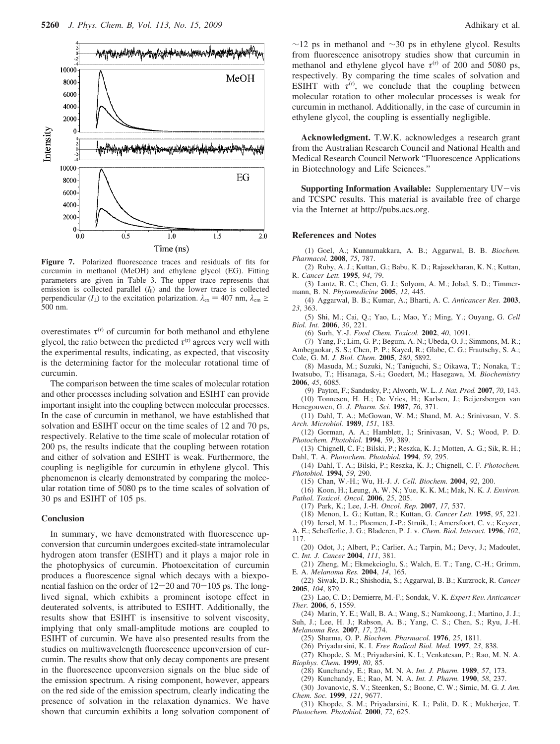

**Figure 7.** Polarized fluorescence traces and residuals of fits for curcumin in methanol (MeOH) and ethylene glycol (EG). Fitting parameters are given in Table 3. The upper trace represents that emission is collected parallel  $(I_{\parallel})$  and the lower trace is collected perpendicular ( $I_{\perp}$ ) to the excitation polarization.  $\lambda_{\text{ex}} = 407$  nm,  $\lambda_{\text{em}} \ge$ 500 nm.

overestimates  $\tau^{(r)}$  of curcumin for both methanol and ethylene glycol, the ratio between the predicted  $\tau^{(r)}$  agrees very well with the experimental results, indicating, as expected, that viscosity is the determining factor for the molecular rotational time of curcumin.

The comparison between the time scales of molecular rotation and other processes including solvation and ESIHT can provide important insight into the coupling between molecular processes. In the case of curcumin in methanol, we have established that solvation and ESIHT occur on the time scales of 12 and 70 ps, respectively. Relative to the time scale of molecular rotation of 200 ps, the results indicate that the coupling between rotation and either of solvation and ESIHT is weak. Furthermore, the coupling is negligible for curcumin in ethylene glycol. This phenomenon is clearly demonstrated by comparing the molecular rotation time of 5080 ps to the time scales of solvation of 30 ps and ESIHT of 105 ps.

### **Conclusion**

In summary, we have demonstrated with fluorescence upconversion that curcumin undergoes excited-state intramolecular hydrogen atom transfer (ESIHT) and it plays a major role in the photophysics of curcumin. Photoexcitation of curcumin produces a fluorescence signal which decays with a biexponential fashion on the order of  $12-20$  and  $70-105$  ps. The longlived signal, which exhibits a prominent isotope effect in deuterated solvents, is attributed to ESIHT. Additionally, the results show that ESIHT is insensitive to solvent viscosity, implying that only small-amplitude motions are coupled to ESIHT of curcumin. We have also presented results from the studies on multiwavelength fluorescence upconversion of curcumin. The results show that only decay components are present in the fluorescence upconversion signals on the blue side of the emission spectrum. A rising component, however, appears on the red side of the emission spectrum, clearly indicating the presence of solvation in the relaxation dynamics. We have shown that curcumin exhibits a long solvation component of  $∼12$  ps in methanol and  $∼30$  ps in ethylene glycol. Results from fluorescence anisotropy studies show that curcumin in methanol and ethylene glycol have  $\tau^{(r)}$  of 200 and 5080 ps, respectively. By comparing the time scales of solvation and ESIHT with  $\tau^{(r)}$ , we conclude that the coupling between molecular rotation to other molecular processes is weak for curcumin in methanol. Additionally, in the case of curcumin in ethylene glycol, the coupling is essentially negligible.

**Acknowledgment.** T.W.K. acknowledges a research grant from the Australian Research Council and National Health and Medical Research Council Network "Fluorescence Applications in Biotechnology and Life Sciences."

**Supporting Information Available:** Supplementary UV-vis and TCSPC results. This material is available free of charge via the Internet at http://pubs.acs.org.

#### **References and Notes**

(1) Goel, A.; Kunnumakkara, A. B.; Aggarwal, B. B. *Biochem. Pharmacol.* **2008**, *75*, 787.

(2) Ruby, A. J.; Kuttan, G.; Babu, K. D.; Rajasekharan, K. N.; Kuttan, R. *Cancer Lett.* **1995**, *94*, 79.

(3) Lantz, R. C.; Chen, G. J.; Solyom, A. M.; Jolad, S. D.; Timmermann, B. N. *Phytomedicine* **2005**, *12*, 445.

(4) Aggarwal, B. B.; Kumar, A.; Bharti, A. C. *Anticancer Res.* **2003**, *23*, 363.

(5) Shi, M.; Cai, Q.; Yao, L.; Mao, Y.; Ming, Y.; Ouyang, G. *Cell Biol. Int.* **2006**, *30*, 221.

(6) Surh, Y.-J. *Food Chem. Toxicol.* **2002**, *40*, 1091.

(7) Yang, F.; Lim, G. P.; Begum, A. N.; Ubeda, O. J.; Simmons, M. R.; Ambegaokar, S. S.; Chen, P. P.; Kayed, R.; Glabe, C. G.; Frautschy, S. A.; Cole, G. M. *J. Biol. Chem.* **2005**, *280*, 5892.

(8) Masuda, M.; Suzuki, N.; Taniguchi, S.; Oikawa, T.; Nonaka, T.; Iwatsubo, T.; Hisanaga, S.-i.; Goedert, M.; Hasegawa, M. *Biochemistry* **2006**, *45*, 6085.

(9) Payton, F.; Sandusky, P.; Alworth, W. L. *J. Nat. Prod.* **2007**, *70*, 143. (10) Tonnesen, H. H.; De Vries, H.; Karlsen, J.; Beijersbergen van Henegouwen, G. *J. Pharm. Sci.* **1987**, *76*, 371.

(11) Dahl, T. A.; McGowan, W. M.; Shand, M. A.; Srinivasan, V. S. *Arch. Microbiol.* **1989**, *151*, 183.

(12) Gorman, A. A.; Hamblett, I.; Srinivasan, V. S.; Wood, P. D. *Photochem. Photobiol.* **1994**, *59*, 389.

(13) Chignell, C. F.; Bilski, P.; Reszka, K. J.; Motten, A. G.; Sik, R. H.; Dahl, T. A. *Photochem. Photobiol.* **1994**, *59*, 295.

(14) Dahl, T. A.; Bilski, P.; Reszka, K. J.; Chignell, C. F. *Photochem. Photobiol.* **1994**, *59*, 290.

(15) Chan, W.-H.; Wu, H.-J. *J. Cell. Biochem.* **2004**, *92*, 200.

(16) Koon, H.; Leung, A. W. N.; Yue, K. K. M.; Mak, N. K. *J. En*V*iron. Pathol. Toxicol. Oncol.* **2006**, *25*, 205.

(17) Park, K.; Lee, J.-H. *Oncol. Rep.* **2007**, *17*, 537.

- (18) Menon, L. G.; Kuttan, R.; Kuttan, G. *Cancer Lett.* **1995**, *95*, 221.
- (19) Iersel, M. L.; Ploemen, J.-P.; Struik, I.; Amersfoort, C. v.; Keyzer,

A. E.; Schefferlie, J. G.; Bladeren, P. J. v. *Chem. Biol. Interact.* **1996**, *102*, 117.

(20) Odot, J.; Albert, P.; Carlier, A.; Tarpin, M.; Devy, J.; Madoulet, C. *Int. J. Cancer* **2004**, *111*, 381.

(21) Zheng, M.; Ekmekcioglu, S.; Walch, E. T.; Tang, C.-H.; Grimm, E. A. *Melanoma Res.* **2004**, *14*, 165.

(22) Siwak, D. R.; Shishodia, S.; Aggarwal, B. B.; Kurzrock, R. *Cancer* **2005**, *104*, 879.

(23) Lao, C. D.; Demierre, M.-F.; Sondak, V. K. *Expert Re*V*. Anticancer Ther.* **2006**, *6*, 1559.

(24) Marin, Y. E.; Wall, B. A.; Wang, S.; Namkoong, J.; Martino, J. J.;

Suh, J.; Lee, H. J.; Rabson, A. B.; Yang, C. S.; Chen, S.; Ryu, J.-H. *Melanoma Res.* **2007**, *17*, 274.

(25) Sharma, O. P. *Biochem. Pharmacol.* **1976**, *25*, 1811.

(26) Priyadarsini, K. I. *Free Radical Biol. Med.* **1997**, *23*, 838.

(27) Khopde, S. M.; Priyadarsini, K. I.; Venkatesan, P.; Rao, M. N. A. *Biophys. Chem.* **1999**, *80*, 85.

(28) Kunchandy, E.; Rao, M. N. A. *Int. J. Pharm.* **1989**, *57*, 173.

(29) Kunchandy, E.; Rao, M. N. A. *Int. J. Pharm.* **1990**, *58*, 237.

(30) Jovanovic, S. V.; Steenken, S.; Boone, C. W.; Simic, M. G. *J. Am. Chem. Soc.* **1999**, *121*, 9677.

(31) Khopde, S. M.; Priyadarsini, K. I.; Palit, D. K.; Mukherjee, T. *Photochem. Photobiol.* **2000**, *72*, 625.